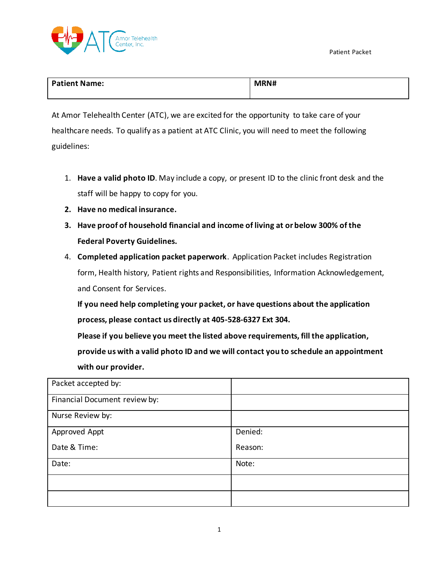

| <b>Patient Name:</b> | MRN# |
|----------------------|------|
|                      |      |

At Amor Telehealth Center (ATC), we are excited for the opportunity to take care of your healthcare needs. To qualify as a patient at ATC Clinic, you will need to meet the following guidelines:

- 1. **Have a valid photo ID**. May include a copy, or present ID to the clinic front desk and the staff will be happy to copy for you.
- **2. Have no medical insurance.**
- **3. Have proof of household financial and income of living at or below 300% of the Federal Poverty Guidelines.**
- 4. **Completed application packet paperwork**. Application Packet includes Registration form, Health history, Patient rights and Responsibilities, Information Acknowledgement, and Consent for Services.

**If you need help completing your packet, or have questions about the application process, please contact us directly at 405-528-6327 Ext 304.**

**Please if you believe you meet the listed above requirements, fill the application, provide us with a valid photo ID and we will contact you to schedule an appointment with our provider.**

| Packet accepted by:           |         |
|-------------------------------|---------|
| Financial Document review by: |         |
| Nurse Review by:              |         |
| Approved Appt                 | Denied: |
| Date & Time:                  | Reason: |
| Date:                         | Note:   |
|                               |         |
|                               |         |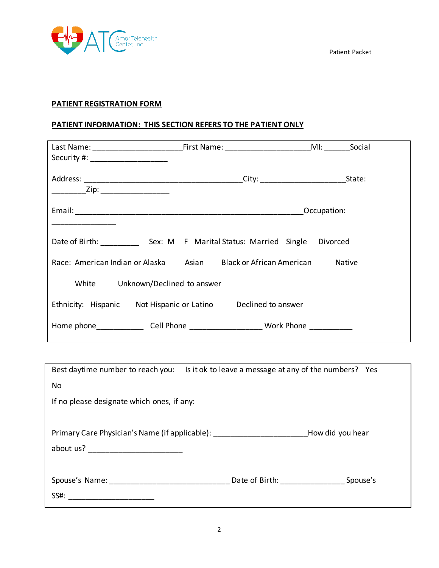

# **PATIENT REGISTRATION FORM**

## **PATIENT INFORMATION: THIS SECTION REFERS TO THE PATIENT ONLY**

| Last Name: ___________________________________First Name: __________________________________MI: ________ |                                 |             | Social |
|----------------------------------------------------------------------------------------------------------|---------------------------------|-------------|--------|
| Security #: _____________________                                                                        |                                 |             |        |
|                                                                                                          |                                 |             |        |
| ________Zip: _____________________                                                                       |                                 |             |        |
|                                                                                                          |                                 | Occupation: |        |
| Date of Birth: Sex: M F Marital Status: Married Single Divorced                                          |                                 |             |        |
| Race: American Indian or Alaska                                                                          | Asian Black or African American | Native      |        |
| White<br>Unknown/Declined to answer                                                                      |                                 |             |        |
| Ethnicity: Hispanic Not Hispanic or Latino Declined to answer                                            |                                 |             |        |
| Home phone________________Cell Phone ______________________Work Phone ___________                        |                                 |             |        |

| Best daytime number to reach you: Is it ok to leave a message at any of the numbers? Yes |                  |
|------------------------------------------------------------------------------------------|------------------|
| No                                                                                       |                  |
| If no please designate which ones, if any:                                               |                  |
|                                                                                          |                  |
| Primary Care Physician's Name (if applicable): _________________________________         | How did you hear |
|                                                                                          |                  |
|                                                                                          |                  |
| Spouse's Name: ___________________________________ Date of Birth: ______________         | Spouse's         |
| SS#: ____________________________                                                        |                  |
|                                                                                          |                  |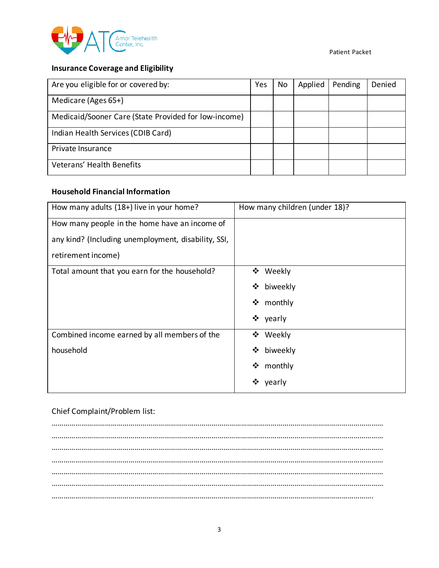

## **Insurance Coverage and Eligibility**

| Are you eligible for or covered by:                  | Yes | No | Applied | Pending | Denied |
|------------------------------------------------------|-----|----|---------|---------|--------|
| Medicare (Ages 65+)                                  |     |    |         |         |        |
| Medicaid/Sooner Care (State Provided for low-income) |     |    |         |         |        |
| Indian Health Services (CDIB Card)                   |     |    |         |         |        |
| Private Insurance                                    |     |    |         |         |        |
| Veterans' Health Benefits                            |     |    |         |         |        |

### **Household Financial Information**

| How many adults (18+) live in your home?            | How many children (under 18)? |
|-----------------------------------------------------|-------------------------------|
| How many people in the home have an income of       |                               |
| any kind? (Including unemployment, disability, SSI, |                               |
| retirement income)                                  |                               |
| Total amount that you earn for the household?       | ❖ Weekly                      |
|                                                     | ❖ biweekly                    |
|                                                     | ❖ monthly                     |
|                                                     | ❖ yearly                      |
| Combined income earned by all members of the        | ❖ Weekly                      |
| household                                           | ❖ biweekly                    |
|                                                     | ❖ monthly                     |
|                                                     | ❖<br>yearly                   |

### Chief Complaint/Problem list:

…………………………………………………………………………………………………………………………………………………… …………………………………………………………………………………………………………………………………………………… …………………………………………………………………………………………………………………………………………………… …………………………………………………………………………………………………………………………………………………… …………………………………………………………………………………………………………………………………………………… …………………………………………………………………………………………………………………………………………………… ……………………………………………………………………………………………………………………………………………….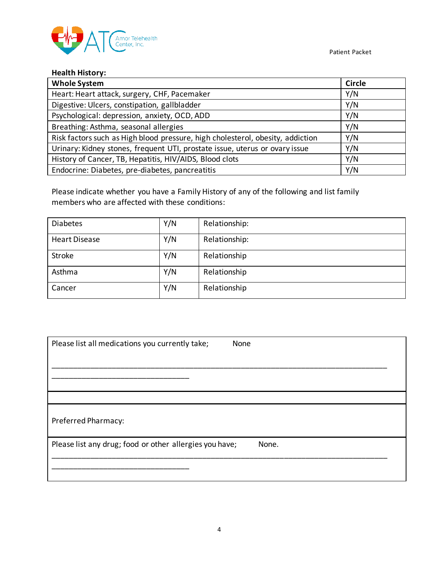

# **Health History:**

| <b>Whole System</b>                                                            | <b>Circle</b> |
|--------------------------------------------------------------------------------|---------------|
| Heart: Heart attack, surgery, CHF, Pacemaker                                   | Y/N           |
| Digestive: Ulcers, constipation, gallbladder                                   | Y/N           |
| Psychological: depression, anxiety, OCD, ADD                                   | Y/N           |
| Breathing: Asthma, seasonal allergies                                          | Y/N           |
| Risk factors such as High blood pressure, high cholesterol, obesity, addiction | Y/N           |
| Urinary: Kidney stones, frequent UTI, prostate issue, uterus or ovary issue    | Y/N           |
| History of Cancer, TB, Hepatitis, HIV/AIDS, Blood clots                        | Y/N           |
| Endocrine: Diabetes, pre-diabetes, pancreatitis                                | Y/N           |

Please indicate whether you have a Family History of any of the following and list family members who are affected with these conditions:

| <b>Diabetes</b>      | Y/N | Relationship: |
|----------------------|-----|---------------|
| <b>Heart Disease</b> | Y/N | Relationship: |
| Stroke               | Y/N | Relationship  |
| Asthma               | Y/N | Relationship  |
| Cancer               | Y/N | Relationship  |

| Please list all medications you currently take;         | None  |
|---------------------------------------------------------|-------|
|                                                         |       |
|                                                         |       |
|                                                         |       |
| Preferred Pharmacy:                                     |       |
| Please list any drug; food or other allergies you have; | None. |
|                                                         |       |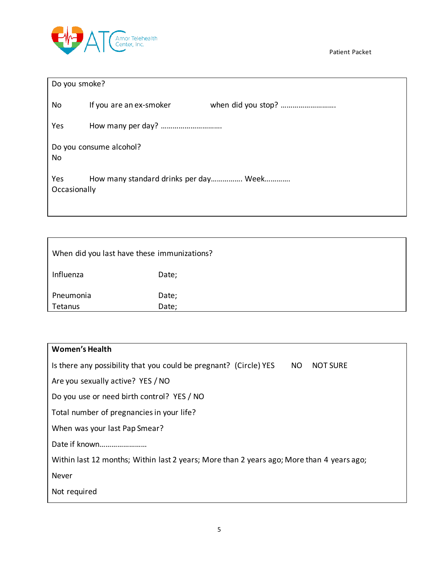

| Do you smoke?       |                                       |  |
|---------------------|---------------------------------------|--|
| No                  | If you are an ex-smoker               |  |
| Yes                 |                                       |  |
| <b>No</b>           | Do you consume alcohol?               |  |
| Yes<br>Occasionally | How many standard drinks per day Week |  |

| When did you last have these immunizations? |                |  |
|---------------------------------------------|----------------|--|
| Influenza                                   | Date;          |  |
| Pneumonia<br>Tetanus                        | Date;<br>Date; |  |

| <b>Women's Health</b>                                                                       |
|---------------------------------------------------------------------------------------------|
| Is there any possibility that you could be pregnant? (Circle) YES<br>NO.<br><b>NOT SURE</b> |
| Are you sexually active? YES / NO                                                           |
| Do you use or need birth control? YES / NO                                                  |
| Total number of pregnancies in your life?                                                   |
| When was your last Pap Smear?                                                               |
| Date if known                                                                               |
| Within last 12 months; Within last 2 years; More than 2 years ago; More than 4 years ago;   |
| Never                                                                                       |
| Not required                                                                                |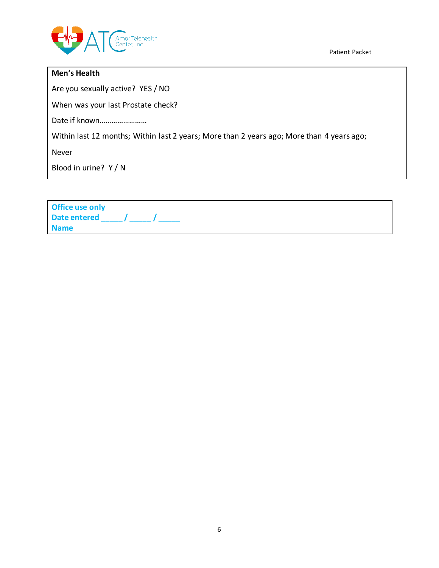

### **Men's Health**

Are you sexually active? YES / NO

When was your last Prostate check?

Date if known……………………

Within last 12 months; Within last 2 years; More than 2 years ago; More than 4 years ago;

Never

Blood in urine? Y / N

| <b>Office use only</b> |  |
|------------------------|--|
| Date entered /         |  |
| <b>Name</b>            |  |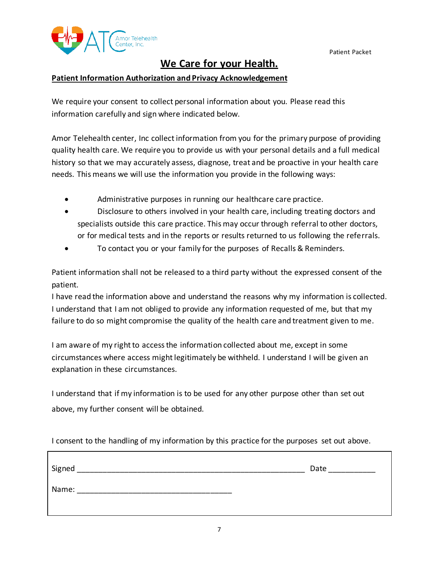

# **We Care for your Health.**

### **Patient Information Authorization and Privacy Acknowledgement**

We require your consent to collect personal information about you. Please read this information carefully and sign where indicated below.

Amor Telehealth center, Inc collect information from you for the primary purpose of providing quality health care. We require you to provide us with your personal details and a full medical history so that we may accurately assess, diagnose, treat and be proactive in your health care needs. This means we will use the information you provide in the following ways:

- Administrative purposes in running our healthcare care practice.
- Disclosure to others involved in your health care, including treating doctors and specialists outside this care practice. This may occur through referral to other doctors, or for medical tests and in the reports or results returned to us following the referrals.
- To contact you or your family for the purposes of Recalls & Reminders.

Patient information shall not be released to a third party without the expressed consent of the patient.

I have read the information above and understand the reasons why my information is collected. I understand that I am not obliged to provide any information requested of me, but that my failure to do so might compromise the quality of the health care and treatment given to me.

I am aware of my right to access the information collected about me, except in some circumstances where access might legitimately be withheld. I understand I will be given an explanation in these circumstances.

I understand that if my information is to be used for any other purpose other than set out above, my further consent will be obtained.

I consent to the handling of my information by this practice for the purposes set out above.

| Signed | Date |
|--------|------|
| Name:  |      |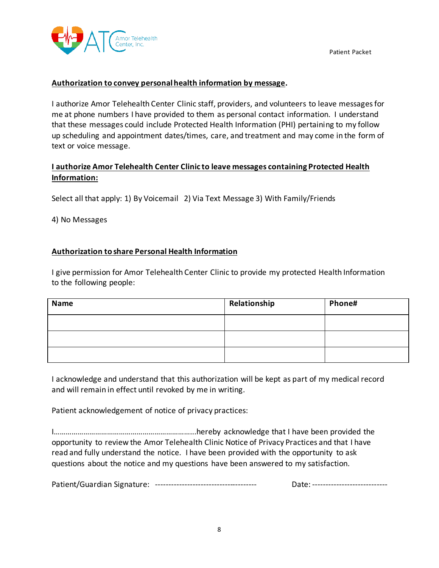

### **Authorization to convey personal health information by message.**

I authorize Amor Telehealth Center Clinic staff, providers, and volunteers to leave messages for me at phone numbers I have provided to them as personal contact information. I understand that these messages could include Protected Health Information (PHI) pertaining to my follow up scheduling and appointment dates/times, care, and treatment and may come in the form of text or voice message.

## **I authorize Amor Telehealth Center Clinic to leave messages containing Protected Health Information:**

Select all that apply: 1) By Voicemail 2) Via Text Message 3) With Family/Friends

4) No Messages

### **Authorization to share Personal Health Information**

I give permission for Amor Telehealth Center Clinic to provide my protected Health Information to the following people:

| <b>Name</b> | Relationship | Phone# |
|-------------|--------------|--------|
|             |              |        |
|             |              |        |
|             |              |        |

I acknowledge and understand that this authorization will be kept as part of my medical record and will remain in effect until revoked by me in writing.

Patient acknowledgement of notice of privacy practices:

I……………………………………………………………...hereby acknowledge that I have been provided the opportunity to review the Amor Telehealth Clinic Notice of Privacy Practices and that I have read and fully understand the notice. I have been provided with the opportunity to ask questions about the notice and my questions have been answered to my satisfaction.

Patient/Guardian Signature: -------------------------------------- Date: ----------------------------